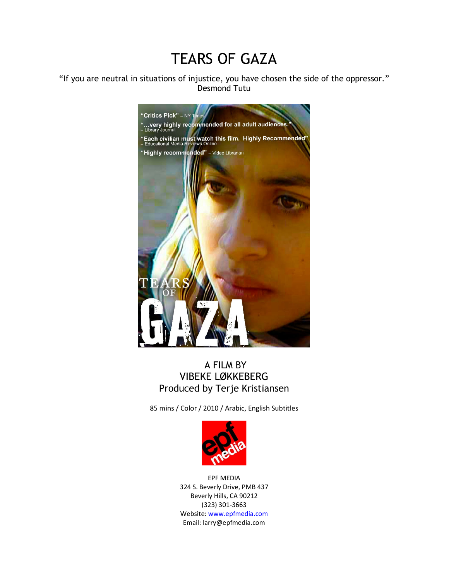# TEARS OF GAZA

"If you are neutral in situations of injustice, you have chosen the side of the oppressor." Desmond Tutu



## A FILM BY VIBEKE LØKKEBERG Produced by Terje Kristiansen

85 mins / Color / 2010 / Arabic, English Subtitles



EPF MEDIA 324 S. Beverly Drive, PMB 437 Beverly Hills, CA 90212 (323) 301-3663 Website: www.epfmedia.com Email: larry@epfmedia.com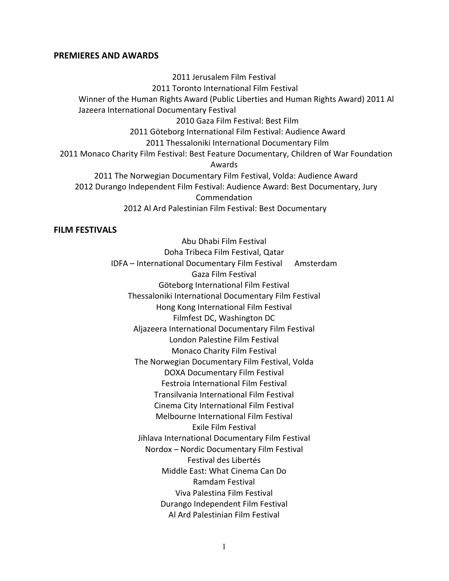#### **PREMIERES AND AWARDS**

2011 Jerusalem Film Festival 2011 Toronto International Film Festival Winner of the Human Rights Award (Public Liberties and Human Rights Award) 2011 Al Jazeera International Documentary Festival 2010 Gaza Film Festival: Best Film 2011 Göteborg International Film Festival: Audience Award 2011 Thessaloniki International Documentary Film 2011 Monaco Charity Film Festival: Best Feature Documentary, Children of War Foundation Awards 2011 The Norwegian Documentary Film Festival, Volda: Audience Award 2012 Durango Independent Film Festival: Audience Award: Best Documentary, Jury Commendation 2012 Al Ard Palestinian Film Festival: Best Documentary

## **FILM FESTIVALS**

Abu Dhabi Film Festival Doha Tribeca Film Festival, Qatar IDFA – International Documentary Film Festival Amsterdam Gaza Film Festival Göteborg International Film Festival Thessaloniki International Documentary Film Festival Hong Kong International Film Festival Filmfest DC, Washington DC Aljazeera International Documentary Film Festival London Palestine Film Festival Monaco Charity Film Festival The Norwegian Documentary Film Festival, Volda DOXA Documentary Film Festival Festroia International Film Festival Transilvania International Film Festival Cinema City International Film Festival Melbourne International Film Festival Exile Film Festival Jihlava International Documentary Film Festival Nordox – Nordic Documentary Film Festival Festival des Libertés Middle East: What Cinema Can Do Ramdam Festival Viva Palestina Film Festival Durango Independent Film Festival Al Ard Palestinian Film Festival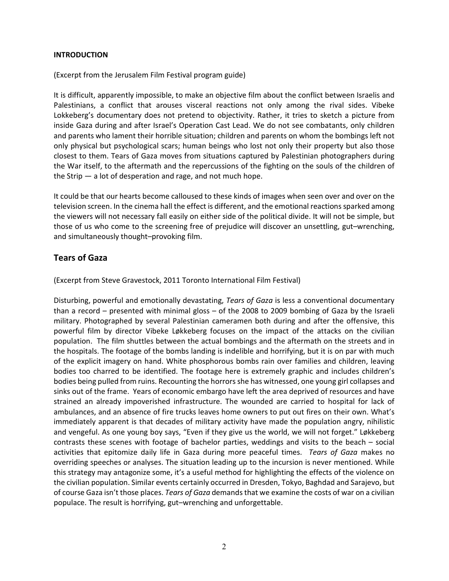## **INTRODUCTION**

(Excerpt from the Jerusalem Film Festival program guide)

It is difficult, apparently impossible, to make an objective film about the conflict between Israelis and Palestinians, a conflict that arouses visceral reactions not only among the rival sides. Vibeke Lokkeberg's documentary does not pretend to objectivity. Rather, it tries to sketch a picture from inside Gaza during and after Israel's Operation Cast Lead. We do not see combatants, only children and parents who lament their horrible situation; children and parents on whom the bombings left not only physical but psychological scars; human beings who lost not only their property but also those closest to them. Tears of Gaza moves from situations captured by Palestinian photographers during the War itself, to the aftermath and the repercussions of the fighting on the souls of the children of the Strip — a lot of desperation and rage, and not much hope.

It could be that our hearts become calloused to these kinds of images when seen over and over on the television screen. In the cinema hall the effect is different, and the emotional reactions sparked among the viewers will not necessary fall easily on either side of the political divide. It will not be simple, but those of us who come to the screening free of prejudice will discover an unsettling, gut–wrenching, and simultaneously thought–provoking film.

## **Tears of Gaza**

(Excerpt from Steve Gravestock, 2011 Toronto International Film Festival)

Disturbing, powerful and emotionally devastating, *Tears of Gaza* is less a conventional documentary than a record – presented with minimal gloss – of the 2008 to 2009 bombing of Gaza by the Israeli military. Photographed by several Palestinian cameramen both during and after the offensive, this powerful film by director Vibeke Løkkeberg focuses on the impact of the attacks on the civilian population. The film shuttles between the actual bombings and the aftermath on the streets and in the hospitals. The footage of the bombs landing is indelible and horrifying, but it is on par with much of the explicit imagery on hand. White phosphorous bombs rain over families and children, leaving bodies too charred to be identified. The footage here is extremely graphic and includes children's bodies being pulled from ruins. Recounting the horrors she has witnessed, one young girl collapses and sinks out of the frame. Years of economic embargo have left the area deprived of resources and have strained an already impoverished infrastructure. The wounded are carried to hospital for lack of ambulances, and an absence of fire trucks leaves home owners to put out fires on their own. What's immediately apparent is that decades of military activity have made the population angry, nihilistic and vengeful. As one young boy says, "Even if they give us the world, we will not forget." Løkkeberg contrasts these scenes with footage of bachelor parties, weddings and visits to the beach – social activities that epitomize daily life in Gaza during more peaceful times. *Tears of Gaza* makes no overriding speeches or analyses. The situation leading up to the incursion is never mentioned. While this strategy may antagonize some, it's a useful method for highlighting the effects of the violence on the civilian population. Similar events certainly occurred in Dresden, Tokyo, Baghdad and Sarajevo, but of course Gaza isn't those places. *Tears of Gaza* demands that we examine the costs of war on a civilian populace. The result is horrifying, gut–wrenching and unforgettable.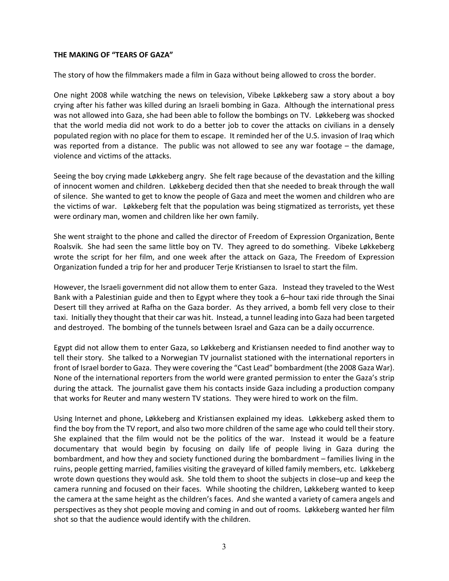## **THE MAKING OF "TEARS OF GAZA"**

The story of how the filmmakers made a film in Gaza without being allowed to cross the border.

One night 2008 while watching the news on television, Vibeke Løkkeberg saw a story about a boy crying after his father was killed during an Israeli bombing in Gaza. Although the international press was not allowed into Gaza, she had been able to follow the bombings on TV. Løkkeberg was shocked that the world media did not work to do a better job to cover the attacks on civilians in a densely populated region with no place for them to escape. It reminded her of the U.S. invasion of Iraq which was reported from a distance. The public was not allowed to see any war footage – the damage, violence and victims of the attacks.

Seeing the boy crying made Løkkeberg angry. She felt rage because of the devastation and the killing of innocent women and children. Løkkeberg decided then that she needed to break through the wall of silence. She wanted to get to know the people of Gaza and meet the women and children who are the victims of war. Løkkeberg felt that the population was being stigmatized as terrorists, yet these were ordinary man, women and children like her own family.

She went straight to the phone and called the director of Freedom of Expression Organization, Bente Roalsvik. She had seen the same little boy on TV. They agreed to do something. Vibeke Løkkeberg wrote the script for her film, and one week after the attack on Gaza, The Freedom of Expression Organization funded a trip for her and producer Terje Kristiansen to Israel to start the film.

However, the Israeli government did not allow them to enter Gaza. Instead they traveled to the West Bank with a Palestinian guide and then to Egypt where they took a 6–hour taxi ride through the Sinai Desert till they arrived at Rafha on the Gaza border. As they arrived, a bomb fell very close to their taxi. Initially they thought that their car was hit. Instead, a tunnel leading into Gaza had been targeted and destroyed. The bombing of the tunnels between Israel and Gaza can be a daily occurrence.

Egypt did not allow them to enter Gaza, so Løkkeberg and Kristiansen needed to find another way to tell their story. She talked to a Norwegian TV journalist stationed with the international reporters in front of Israel border to Gaza. They were covering the "Cast Lead" bombardment (the 2008 Gaza War). None of the international reporters from the world were granted permission to enter the Gaza's strip during the attack. The journalist gave them his contacts inside Gaza including a production company that works for Reuter and many western TV stations. They were hired to work on the film.

Using Internet and phone, Løkkeberg and Kristiansen explained my ideas. Løkkeberg asked them to find the boy from the TV report, and also two more children of the same age who could tell their story. She explained that the film would not be the politics of the war. Instead it would be a feature documentary that would begin by focusing on daily life of people living in Gaza during the bombardment, and how they and society functioned during the bombardment – families living in the ruins, people getting married, families visiting the graveyard of killed family members, etc. Løkkeberg wrote down questions they would ask. She told them to shoot the subjects in close–up and keep the camera running and focused on their faces. While shooting the children, Løkkeberg wanted to keep the camera at the same height as the children's faces. And she wanted a variety of camera angels and perspectives as they shot people moving and coming in and out of rooms. Løkkeberg wanted her film shot so that the audience would identify with the children.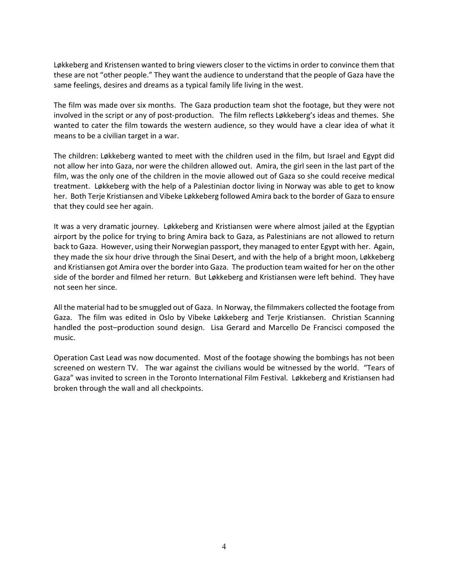Løkkeberg and Kristensen wanted to bring viewers closer to the victims in order to convince them that these are not "other people." They want the audience to understand that the people of Gaza have the same feelings, desires and dreams as a typical family life living in the west.

The film was made over six months. The Gaza production team shot the footage, but they were not involved in the script or any of post-production. The film reflects Løkkeberg's ideas and themes. She wanted to cater the film towards the western audience, so they would have a clear idea of what it means to be a civilian target in a war.

The children: Løkkeberg wanted to meet with the children used in the film, but Israel and Egypt did not allow her into Gaza, nor were the children allowed out. Amira, the girl seen in the last part of the film, was the only one of the children in the movie allowed out of Gaza so she could receive medical treatment. Løkkeberg with the help of a Palestinian doctor living in Norway was able to get to know her. Both Terje Kristiansen and Vibeke Løkkeberg followed Amira back to the border of Gaza to ensure that they could see her again.

It was a very dramatic journey. Løkkeberg and Kristiansen were where almost jailed at the Egyptian airport by the police for trying to bring Amira back to Gaza, as Palestinians are not allowed to return back to Gaza. However, using their Norwegian passport, they managed to enter Egypt with her. Again, they made the six hour drive through the Sinai Desert, and with the help of a bright moon, Løkkeberg and Kristiansen got Amira over the border into Gaza. The production team waited for her on the other side of the border and filmed her return. But Løkkeberg and Kristiansen were left behind. They have not seen her since.

All the material had to be smuggled out of Gaza. In Norway, the filmmakers collected the footage from Gaza. The film was edited in Oslo by Vibeke Løkkeberg and Terje Kristiansen. Christian Scanning handled the post–production sound design. Lisa Gerard and Marcello De Francisci composed the music.

Operation Cast Lead was now documented. Most of the footage showing the bombings has not been screened on western TV. The war against the civilians would be witnessed by the world. "Tears of Gaza" was invited to screen in the Toronto International Film Festival. Løkkeberg and Kristiansen had broken through the wall and all checkpoints.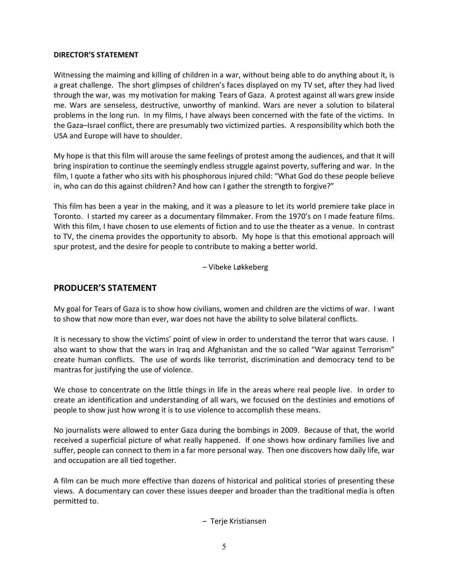#### **DIRECTOR'S STATEMENT**

Witnessing the maiming and killing of children in a war, without being able to do anything about it, is a great challenge. The short glimpses of children's faces displayed on my TV set, after they had lived through the war, was my motivation for making Tears of Gaza. A protest against all wars grew inside me. Wars are senseless, destructive, unworthy of mankind. Wars are never a solution to bilateral problems in the long run. In my films, I have always been concerned with the fate of the victims. In the Gaza–Israel conflict, there are presumably two victimized parties. A responsibility which both the USA and Europe will have to shoulder.

My hope is that this film will arouse the same feelings of protest among the audiences, and that it will bring inspiration to continue the seemingly endless struggle against poverty, suffering and war. In the film, I quote a father who sits with his phosphorous injured child: "What God do these people believe in, who can do this against children? And how can I gather the strength to forgive?"

This film has been a year in the making, and it was a pleasure to let its world premiere take place in Toronto. I started my career as a documentary filmmaker. From the 1970's on I made feature films. With this film, I have chosen to use elements of fiction and to use the theater as a venue. In contrast to TV, the cinema provides the opportunity to absorb. My hope is that this emotional approach will spur protest, and the desire for people to contribute to making a better world.

– Vibeke Løkkeberg

## **PRODUCER'S STATEMENT**

My goal for Tears of Gaza is to show how civilians, women and children are the victims of war. I want to show that now more than ever, war does not have the ability to solve bilateral conflicts.

It is necessary to show the victims' point of view in order to understand the terror that wars cause. I also want to show that the wars in Iraq and Afghanistan and the so called "War against Terrorism" create human conflicts. The use of words like terrorist, discrimination and democracy tend to be mantras for justifying the use of violence.

We chose to concentrate on the little things in life in the areas where real people live. In order to create an identification and understanding of all wars, we focused on the destinies and emotions of people to show just how wrong it is to use violence to accomplish these means.

No journalists were allowed to enter Gaza during the bombings in 2009. Because of that, the world received a superficial picture of what really happened. If one shows how ordinary families live and suffer, people can connect to them in a far more personal way. Then one discovers how daily life, war and occupation are all tied together.

A film can be much more effective than dozens of historical and political stories of presenting these views. A documentary can cover these issues deeper and broader than the traditional media is often permitted to.

– Terje Kristiansen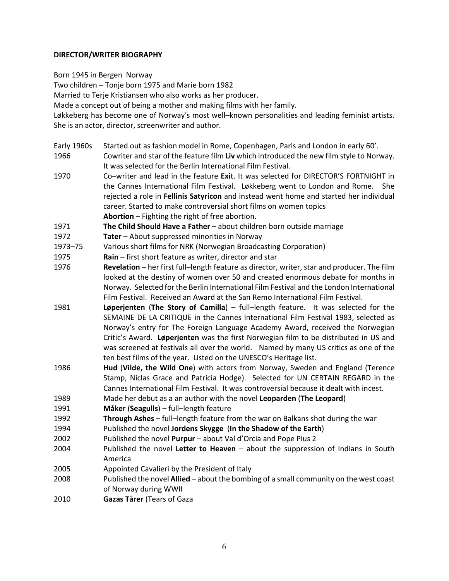## **DIRECTOR/WRITER BIOGRAPHY**

Born 1945 in Bergen Norway

Two children – Tonje born 1975 and Marie born 1982

Married to Terje Kristiansen who also works as her producer.

Made a concept out of being a mother and making films with her family.

Løkkeberg has become one of Norway's most well–known personalities and leading feminist artists. She is an actor, director, screenwriter and author.

Early 1960s Started out as fashion model in Rome, Copenhagen, Paris and London in early 60'.

1966 Cowriter and star of the feature film **Liv** which introduced the new film style to Norway. It was selected for the Berlin International Film Festival.

1970 Co–writer and lead in the feature **Exi**t. It was selected for DIRECTOR'S FORTNIGHT in the Cannes International Film Festival. Løkkeberg went to London and Rome. She rejected a role in **Fellinis Satyricon** and instead went home and started her individual career. Started to make controversial short films on women topics **Abortion** – Fighting the right of free abortion.

1971 **The Child Should Have a Father** – about children born outside marriage

- 1972 **Tater** About suppressed minorities in Norway
- 1973–75 Various short films for NRK (Norwegian Broadcasting Corporation)
- 1975 **Rain**  first short feature as writer, director and star
- 1976 **Revelation** her first full–length feature as director, writer, star and producer. The film looked at the destiny of women over 50 and created enormous debate for months in Norway. Selected for the Berlin International Film Festival and the London International Film Festival. Received an Award at the San Remo International Film Festival.
- 1981 **Løperjenten** (**The Story of Camilla**) full–length feature. It was selected for the SEMAINE DE LA CRITIQUE in the Cannes International Film Festival 1983, selected as Norway's entry for The Foreign Language Academy Award, received the Norwegian Critic's Award. **Løperjenten** was the first Norwegian film to be distributed in US and was screened at festivals all over the world. Named by many US critics as one of the ten best films of the year. Listed on the UNESCO's Heritage list.
- 1986 **Hud** (**Vilde, the Wild One**) with actors from Norway, Sweden and England (Terence Stamp, Niclas Grace and Patricia Hodge). Selected for UN CERTAIN REGARD in the Cannes International Film Festival. It was controversial because it dealt with incest.
- 1989 Made her debut as a an author with the novel **Leoparden** (**The Leopard**)
- 1991 **Måker** (**Seagulls**) full–length feature
- 1992 **Through Ashes** full–length feature from the war on Balkans shot during the war
- 1994 Published the novel **Jordens Skygge** (**In the Shadow of the Earth**)
- 2002 Published the novel **Purpur** about Val d'Orcia and Pope Pius 2
- 2004 Published the novel **Letter to Heaven** about the suppression of Indians in South America
- 2005 Appointed Cavalieri by the President of Italy
- 2008 Published the novel **Allied** about the bombing of a small community on the west coast of Norway during WWII
- 2010 **Gazas Tårer** (Tears of Gaza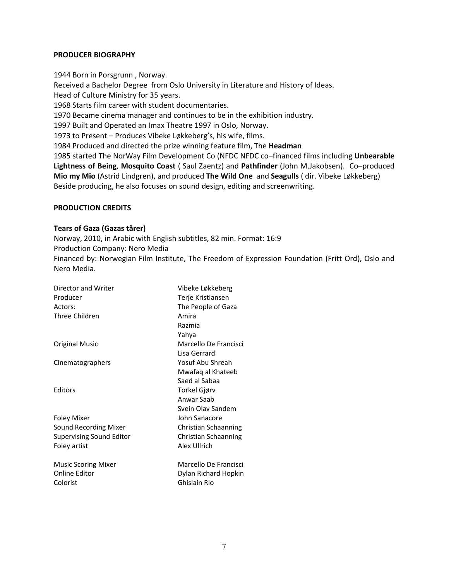## **PRODUCER BIOGRAPHY**

1944 Born in Porsgrunn , Norway. Received a Bachelor Degree from Oslo University in Literature and History of Ideas. Head of Culture Ministry for 35 years. 1968 Starts film career with student documentaries. 1970 Became cinema manager and continues to be in the exhibition industry. 1997 Built and Operated an Imax Theatre 1997 in Oslo, Norway. 1973 to Present – Produces Vibeke Løkkeberg's, his wife, films. 1984 Produced and directed the prize winning feature film, The **Headman**  1985 started The NorWay Film Development Co (NFDC NFDC co–financed films including **Unbearable Lightness of Being**, **Mosquito Coast** ( Saul Zaentz) and **Pathfinder** (John M.Jakobsen). Co–produced **Mio my Mio** (Astrid Lindgren), and produced **The Wild One** and **Seagulls** ( dir. Vibeke Løkkeberg) Beside producing, he also focuses on sound design, editing and screenwriting.

## **PRODUCTION CREDITS**

#### **Tears of Gaza (Gazas tårer)**

Norway, 2010, in Arabic with English subtitles, 82 min. Format: 16:9 Production Company: Nero Media Financed by: Norwegian Film Institute, The Freedom of Expression Foundation (Fritt Ord), Oslo and Nero Media.

| Director and Writer             | Vibeke Løkkeberg      |
|---------------------------------|-----------------------|
| Producer                        | Terje Kristiansen     |
| Actors:                         | The People of Gaza    |
| Three Children                  | Amira                 |
|                                 | Razmia                |
|                                 | Yahya                 |
| Original Music                  | Marcello De Francisci |
|                                 | Lisa Gerrard          |
| Cinematographers                | Yosuf Abu Shreah      |
|                                 | Mwafaq al Khateeb     |
|                                 | Saed al Sabaa         |
| Editors                         | Torkel Gjørv          |
|                                 | Anwar Saab            |
|                                 | Svein Olav Sandem     |
| <b>Foley Mixer</b>              | John Sanacore         |
| Sound Recording Mixer           | Christian Schaanning  |
| <b>Supervising Sound Editor</b> | Christian Schaanning  |
| Foley artist                    | Alex Ullrich          |
| <b>Music Scoring Mixer</b>      | Marcello De Francisci |
| <b>Online Editor</b>            | Dylan Richard Hopkin  |
| Colorist                        | Ghislain Rio          |
|                                 |                       |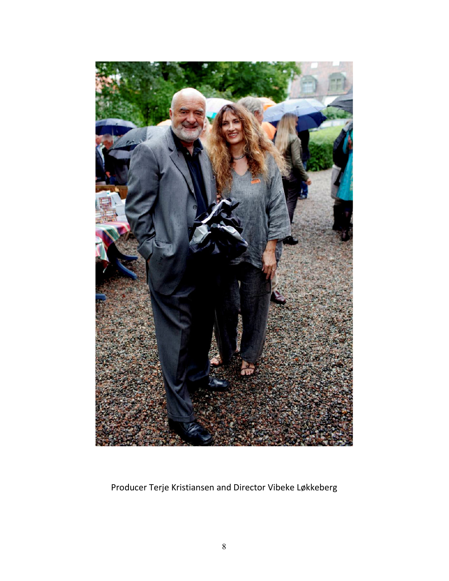

Producer Terje Kristiansen and Director Vibeke Løkkeberg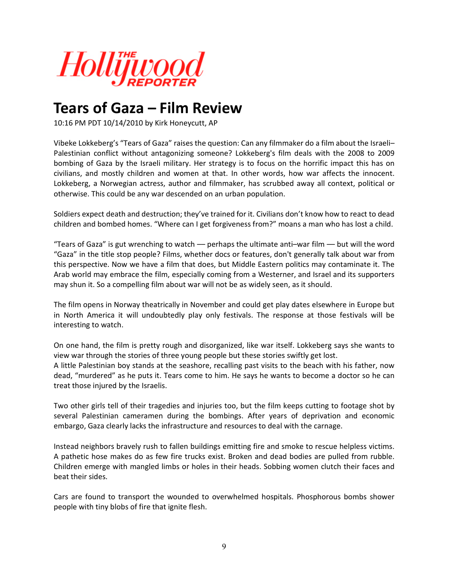

## **Tears of Gaza – Film Review**

10:16 PM PDT 10/14/2010 by Kirk Honeycutt, AP

Vibeke Lokkeberg's "Tears of Gaza" raises the question: Can any filmmaker do a film about the Israeli– Palestinian conflict without antagonizing someone? Lokkeberg's film deals with the 2008 to 2009 bombing of Gaza by the Israeli military. Her strategy is to focus on the horrific impact this has on civilians, and mostly children and women at that. In other words, how war affects the innocent. Lokkeberg, a Norwegian actress, author and filmmaker, has scrubbed away all context, political or otherwise. This could be any war descended on an urban population.

Soldiers expect death and destruction; they've trained for it. Civilians don't know how to react to dead children and bombed homes. "Where can I get forgiveness from?" moans a man who has lost a child.

"Tears of Gaza" is gut wrenching to watch –– perhaps the ultimate anti–war film –– but will the word "Gaza" in the title stop people? Films, whether docs or features, don't generally talk about war from this perspective. Now we have a film that does, but Middle Eastern politics may contaminate it. The Arab world may embrace the film, especially coming from a Westerner, and Israel and its supporters may shun it. So a compelling film about war will not be as widely seen, as it should.

The film opens in Norway theatrically in November and could get play dates elsewhere in Europe but in North America it will undoubtedly play only festivals. The response at those festivals will be interesting to watch.

On one hand, the film is pretty rough and disorganized, like war itself. Lokkeberg says she wants to view war through the stories of three young people but these stories swiftly get lost. A little Palestinian boy stands at the seashore, recalling past visits to the beach with his father, now dead, "murdered" as he puts it. Tears come to him. He says he wants to become a doctor so he can treat those injured by the Israelis.

Two other girls tell of their tragedies and injuries too, but the film keeps cutting to footage shot by several Palestinian cameramen during the bombings. After years of deprivation and economic embargo, Gaza clearly lacks the infrastructure and resources to deal with the carnage.

Instead neighbors bravely rush to fallen buildings emitting fire and smoke to rescue helpless victims. A pathetic hose makes do as few fire trucks exist. Broken and dead bodies are pulled from rubble. Children emerge with mangled limbs or holes in their heads. Sobbing women clutch their faces and beat their sides.

Cars are found to transport the wounded to overwhelmed hospitals. Phosphorous bombs shower people with tiny blobs of fire that ignite flesh.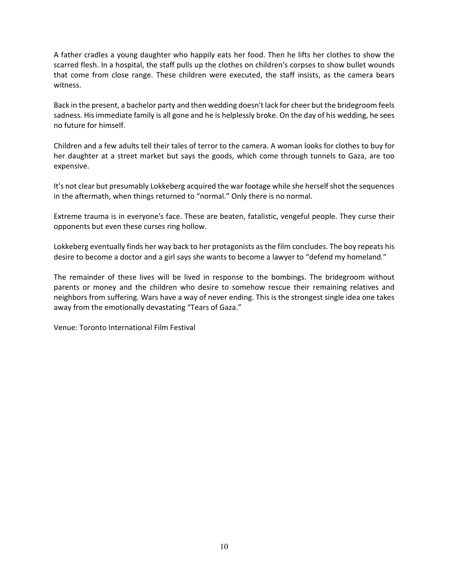A father cradles a young daughter who happily eats her food. Then he lifts her clothes to show the scarred flesh. In a hospital, the staff pulls up the clothes on children's corpses to show bullet wounds that come from close range. These children were executed, the staff insists, as the camera bears witness.

Back in the present, a bachelor party and then wedding doesn't lack for cheer but the bridegroom feels sadness. His immediate family is all gone and he is helplessly broke. On the day of his wedding, he sees no future for himself.

Children and a few adults tell their tales of terror to the camera. A woman looks for clothes to buy for her daughter at a street market but says the goods, which come through tunnels to Gaza, are too expensive.

It's not clear but presumably Lokkeberg acquired the war footage while she herself shot the sequences in the aftermath, when things returned to "normal." Only there is no normal.

Extreme trauma is in everyone's face. These are beaten, fatalistic, vengeful people. They curse their opponents but even these curses ring hollow.

Lokkeberg eventually finds her way back to her protagonists as the film concludes. The boy repeats his desire to become a doctor and a girl says she wants to become a lawyer to "defend my homeland."

The remainder of these lives will be lived in response to the bombings. The bridegroom without parents or money and the children who desire to somehow rescue their remaining relatives and neighbors from suffering. Wars have a way of never ending. This is the strongest single idea one takes away from the emotionally devastating "Tears of Gaza."

Venue: Toronto International Film Festival